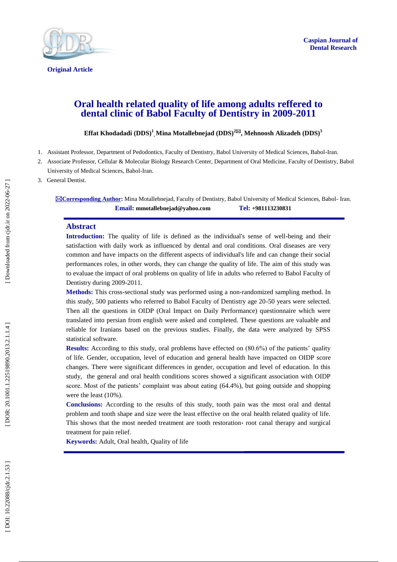

# **Oral health related quality of life among adults reffered to dental clinic of Babol Faculty of Dentistry in 2009 -2011**

**Effat Khodadadi (DDS) 1 , Mina Motallebnejad (DDS) 2 , Mehnoosh Alizadeh (DDS) 3**

- 1 . Assistant Professor, Department of Pedodontics, Faculty of Dentistry, Babol University of Medical Sciences, Babol -Iran .
- 2 . Associate Professor, Cellular & Molecular Biology Research Center, Department of Oral Medicine, Faculty of Dentistry, Babol University of Medical Sciences, Babol -Iran.
- 3. General Dentist .

**Corresponding Author :** Mina Motallebnejad, Faculty of Dentistry, Babol University of Medical Sciences, Babol - Iran. **Email: mmotallebnejad@yahoo.com Tel: +981113230831**

#### **Abstract**

**Introduction:** The quality of life is defined as the individual's sense of well-being and their satisfaction with daily work as influenced by dental and oral conditions. Oral diseases are very common and have impacts on the different aspects of individual's life and can change their social performances roles, in other words, they can change the quality of life. The aim of this study was to evalua e the impact of oral problems on quality of life in adults who referred to Babol Faculty of Dentistry during 2009 -2011.

Methods: This cross-sectional study was performed using a non-randomized sampling method. In this study, 500 patients who referred to Babol Faculty of Dentistry age 20 -50 years were selected. Then all the questions in OIDP (Oral Impact on Daily Performance) questionnaire which were translated into persian from english were asked and completed. These questions are valuable and reliable for Iranians based on the previous studies. Finally, the data were analyzed by SPSS statistical software.

**Results:** According to this study, oral problems have effected on (80.6%) of the patients' quality of life. Gender, occupation, level of education and general health have impacted on OIDP score changes. There were significant differences in gender, occupation and level of education. In this study, the general and oral health conditions scores showed a significant association with OIDP score. Most of the patients' complaint was about eating (64.4%), but going outside and shopping were the least (10%).

**Conclusions:** According to the results of this study, tooth pain was the most oral and dental problem and tooth shape and size were the least effective on the oral health related quality of life. This shows that the most needed treatment are tooth restoration of root canal therapy and surgical treatment for pain relief.

Keywords: Adult, Oral health, Quality of life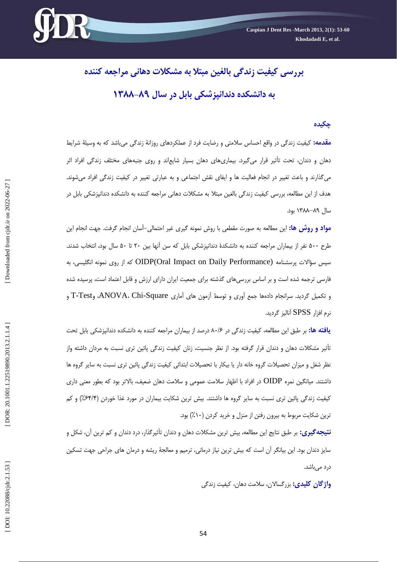

# **چکیده**

<mark>مقدمه:</mark> کیفیت زندگی در واقع احساس سلامتی و رضایت فرد از عملکردهای روزانهٔ زندگی میباشد که به وسیلهٔ شرایط دهان و دندان، تحت تأثیر قرار میگیرد. بیماریهای دهان بسیار شایعاند و روی جنبههای مختلف زندگی افراد اثر میگذارند و باعث تغییر در انجام فعالیت ها و ایفای نقش اجتماعی و به عبارتی تغییر در کیفیت زندگی افراد میشوند. هدف از اين مطالعه، بررسی کيفيت زندگی بالغين مبتلا بِه مشکلات دهانی مراجعه کننده بِه دانشکده دندانپزشکی بابل در سال 98–1399 بَد.

**مواد و روش ها:** اين مطالعه به صورت مقطعي با روش نمونه گيرى غير احتمالي–اسان انجام گرفت. جهت انجام اين طرح ۵۰۰ نفر از بيماران مراجعه کننده به دانشکدهٔ دندانپزشکی بابل که سن آنها بين ۲۰ تا ۵۰ سال بود، انتخاب شدند. سپس سؤالات پرسشنامه (OIDP(Oral Impact on Daily Performance که از روی نمونه انگلیسی، به فارسی ترجمه شده است و بر اساس بررسیِهای گذشته برای جمعیت ایران دارای ارزش و قابل اعتماد است، پرسیده شده و تکمیل گردید. سرانجام دادهها جمع آوری و توسط آزمون های أماری ANOVA، Chi-Square، وT-Test و نرم افزار SPSS آنالیز گردید.

**یافته ها:** بر طبق این مطالعه، کیفیت زندگی در ۸۰/۶ درصد از بیماران مراجعه کننده به دانشکده دندانپزشکی بابل تحت تأثیر مشکلات دهان و دندان قزار گرفته بود. از نظر جنسیت، زنان کیفیت زندگی پائین تری نسبت به مردان داشته واز نظر شغل و ميزان تحصيلات گروه خانه دار يا بيكار با تحصيلات ابتدائي کيفيت زندگي پائين تري نسبت به ساير گروه ها داشتند. میانگین نمره OIDP در افراد با اظهار سلامت عمومی و سلامت دهان ضعیف، بالاتر بود که بطور معنی داری کیفیت زندگی پائین تری نسبت بِه سایر گروه ها داشتند. بیش ترین شکایت بیماران در مورد غذا خوردن (۶۴/۴٪) و کم ترين شکايت مربوط به بيرون رفتن از منزل و خريد کردن (١٠٪) بود.

**نتيجهگيري:** بر طبق نتايج اين مطالعه، بيش ترين مشکلات دهان و دندان تأثيرگذار، درد دندان و کم ترين آن، شکل و سايز دندان بود. اين بيانگر آن است که بيش ترين نياز درماني، ترميم و معالجهٔ ريشه و درمان هاي جراحي جهت تسکين درد مىباشد.

**واژ گان کلیدی:** بزرگسالان، سلامت دهان، کیفیت زندگی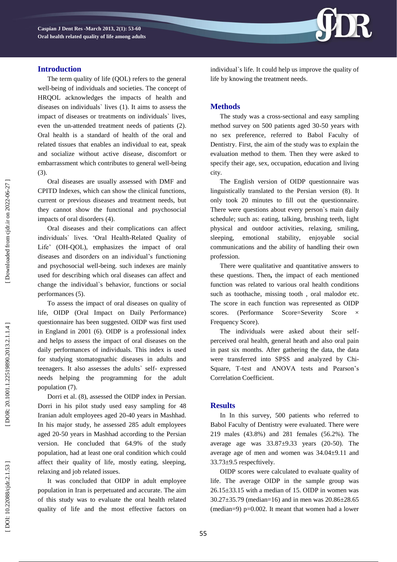

The term quality of life (QOL) refers to the general well -being of individuals and societies. The concept of HRQ O L acknowledges the impacts of health and diseases on individuals` lives (1). It aims to assess the impact of diseases or treatments on individuals` lives, even the un -attended treatment needs of patients (2). Oral health is a standard of health of the oral and related tissues that enables an individual to eat, speak and socialize without active disease, discomfort or embarrassment which contributes to general well -being (3).

Oral diseases are usually assessed with DMF and CPITD Indexes, which can show the clinical functions, current or previous diseases and treatment needs, but they cannot show the functional and psychosocial impacts of oral disorders (4).

Oral diseases and their complications can affect individuals` lives. 'Oral Health -Related Quality of Life' (OH - Q OL), emphasizes the impact of oral diseases and disorders on an individual's functioning and psychosocial well -being. such indexes are mainly used for describing which oral diseases can affect and change the individual`s behavior, functions or social performances (5).

To assess the impact of oral diseases on quality of life, OIDP (Oral Impact on Daily Performance) questionnaire has been suggested. OIDP was first used in England in 2001 (6). OIDP is a professional index and helps to assess the impact of oral diseases on the daily performances of individuals. This index is used for studying stomatognathic diseases in adults and teenagers. It also assesses the adults` self - expressed needs helping the programming for the adult population (7).

Dorri et al. (8) , assessed the OIDP index in Persian. Dorri in his pilot study used easy sampling for 48 Iranian adult employees aged 20 -40 years in Mashhad. In his major study, he assessed 285 adult employees aged 20 -50 years in Mashhad according to the Persian version. He concluded that 64.9% of the study population, had at least one oral condition which could affect their quality of life, mostly eating, sleeping, relaxing and job related issues.

It was concluded that OIDP in adult employee population in Iran is perpetuated and accurate. The aim of this study was to evaluate the oral health related quality of life and the most effective factors on individual`s life. It could help us improve the quality of life by knowing the treatment needs.

# **Method s**

The study was a cross -sectional and easy sampling method survey on 500 patients aged 30 -50 years with no sex preference, referred to Babol Faculty of Dentistry. First, the aim of the study was to explain the evaluation method to them. Then they were asked to specify their age, sex, occupation, education and living city.

The English version of OIDP questionnaire was linguistically translated to the Persian version (8). It only took 20 minutes to fill out the questionnaire. There were questions about every person`s main daily schedule; such as: eating, talking, brushing teeth, light physical and outdoor activities, relaxing, smiling, sleeping, emotional stability, enjoyable social communications and the ability of handling their own profession.

There were qualitative and quantitative answers to these questions. Then**,** the impact of each mentioned function was related to various oral health conditions such as toothache, missing tooth , oral malodor etc. The score in each function was represented as OIDP scores. (Performance Score=Severity Score Frequency Score).

The individuals were asked about their self perceived oral health, general heath and also oral pain in past six months. After gathering the data, the data were transferred into SPSS and analy zed by Chi - Square, T -test and ANOVA tests and Pearson's Correlation Coefficient.

#### **Results**

In In this survey, 500 patients who referred to Babol Faculty of Dentistry were evaluated. There were 219 males (43.8%) and 281 females (56.2%). The average age was  $33.87 \pm 9.33$  years (20-50). The average age of men and women was 34.04±9.11 and  $33.73\pm9.5$  respectively.

OIDP scores were calculated to evaluate quality of life. The average OIDP in the sample group was  $26.15\pm33.15$  with a median of 15. OIDP in women was 30.27±35.79 (median=16) and in men was 20.86±28.65 (median=9) p=0.002. It meant that women had a lower

55

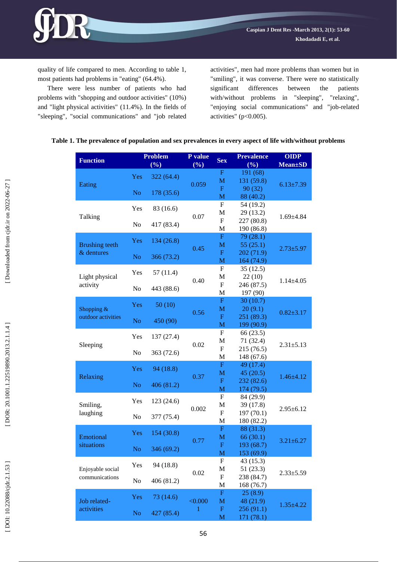quality of life compared to men. According to table 1, most patients had problems in "eating" (64.4%).

R

There were less number of patients who had problems with "shopping and outdoor activities" (10%) and "light physical activities" (11.4%). In the fields of "sleeping", "social communications" and "job related activities", men had more problems than women but in "smiling", it was converse. There were no statistically significant differences between the patients with/without problems in "sleeping", "relaxing", "enjoying social communications" and "job -related activities" ( p<0.005).

| <b>Function</b>                                               | <b>Problem</b><br>(%) |            | P value<br>(%) | <b>Sex</b>                     | <b>Prevalence</b><br>(%)         | <b>OIDP</b><br><b>Mean</b> ±SD |  |
|---------------------------------------------------------------|-----------------------|------------|----------------|--------------------------------|----------------------------------|--------------------------------|--|
| Eating                                                        | Yes                   | 322 (64.4) | 0.059          | F<br>M<br>F                    | 191 (68)<br>131 (59.8)<br>90(32) | $6.13 \pm 7.39$                |  |
|                                                               | N <sub>o</sub>        | 178 (35.6) |                | M                              | 88 (40.2)                        |                                |  |
| Talking                                                       | Yes                   | 83 (16.6)  | 0.07           | F<br>M<br>$\mathbf{F}$         | 54 (19.2)<br>29 (13.2)           | $1.69{\pm}4.84$                |  |
|                                                               | No                    | 417 (83.4) |                | M                              | 227 (80.8)<br>190 (86.8)         |                                |  |
| <b>Brushing teeth</b><br>& dentures                           | Yes                   | 134(26.8)  | 0.45           | F<br>M                         | 79(28.1)<br>55(25.1)             | $2.73 \pm 5.97$                |  |
|                                                               | N <sub>o</sub>        | 366 (73.2) |                | F<br>M                         | 202 (71.9)<br>164 (74.9)         |                                |  |
| Light physical<br>activity                                    | Yes                   | 57(11.4)   | 0.40           | F<br>M                         | 35(12.5)<br>22(10)               | $1.14 \pm 4.05$                |  |
|                                                               | No                    | 443 (88.6) |                | $\mathbf{F}$<br>M              | 246 (87.5)<br>197 (90)           |                                |  |
| Shopping &<br>outdoor activities                              | Yes                   | 50(10)     |                | F<br>M                         | 30(10.7)<br>20(9.1)              | $0.82 \pm 3.17$                |  |
|                                                               | No                    | 450 (90)   | 0.56           | F<br>M                         | 251 (89.3)<br>199 (90.9)         |                                |  |
| Sleeping                                                      | Yes                   | 137 (27.4) | 0.02           | F<br>$\mathbf M$               | 66(23.5)<br>71 (32.4)            | $2.31 \pm 5.13$                |  |
|                                                               | No                    | 363 (72.6) |                | $\mathbf{F}$<br>M              | 215 (76.5)<br>148 (67.6)         |                                |  |
| Relaxing                                                      | Yes                   | 94 (18.8)  |                | F                              | 49 (17.4)                        | $1.46 \pm 4.12$                |  |
|                                                               | N <sub>o</sub>        | 406 (81.2) | 0.37           | M<br>F                         | 45(20.5)<br>232 (82.6)           |                                |  |
| Smiling,<br>laughing                                          | Yes                   | 123(24.6)  |                | M<br>$\mathbf{F}$              | 174 (79.5)<br>84 (29.9)          | $2.95 \pm 6.12$                |  |
|                                                               | No                    | 377 (75.4) | 0.002          | $\mathbf M$<br>F               | 39 (17.8)<br>197 (70.1)          |                                |  |
|                                                               | Yes                   | 154 (30.8) |                | $\mathbf M$<br>F               | 180 (82.2)<br>88(31.3)           |                                |  |
| Emotional<br>situations<br>Enjoyable social<br>communications |                       |            | 0.77           | M<br>$\mathbf F$               | 66(30.1)<br>193 (68.7)           | $3.21 \pm 6.27$                |  |
|                                                               | No                    | 346 (69.2) |                | M<br>F                         | 153 (69.9)<br>43 (15.3)          |                                |  |
|                                                               | Yes                   | 94 (18.8)  | 0.02           | M<br>$\boldsymbol{\mathrm{F}}$ | 51(23.3)<br>238 (84.7)           | $2.33 \pm 5.59$                |  |
|                                                               | No                    | 406(81.2)  |                | M<br>$\mathbf F$               | 168 (76.7)                       |                                |  |
| Job related-                                                  | Yes                   | 73 (14.6)  | < 0.000        | M                              | 25(8.9)<br>48 (21.9)             | $1.35 \pm 4.22$                |  |
| activities                                                    | N <sub>o</sub>        | 427 (85.4) | 1              | $\mathbf F$<br>M               | 256 (91.1)<br>171 (78.1)         |                                |  |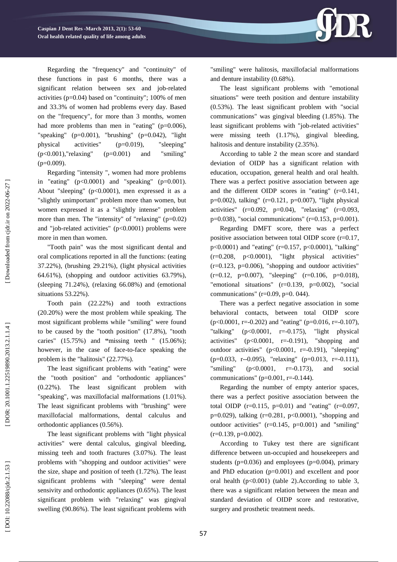

Regarding "intensity ", women had more problems in "eating"  $(p<0.0001)$  and "speaking"  $(p=0.001)$ . About "sleeping" ( p<0.0001), men expressed it as a "slightly unimportant" problem more than women, but women expressed it as a "slightly intense" problem more than men. The "intensity" of "relaxing" (p=0.02) and "job -related activities" ( p<0.0001) problems were more in men than women.

"Tooth pain" was the most significant dental and oral complications reported in all the functions: (eating 37.22%), (brushing 29.21%), (light physical activities 64.61%), (shopping and outdoor activities 63.79%), (sleeping 71.24%), (relaxing 66.08%) and (emotional situations 53.22%).

Tooth pain (22.22%) and tooth extractions (20.20%) were the most problem while speaking. The most significant problems while "smiling" were found to be caused by the "tooth position" (17.8%), "tooth caries" (15.75%) and **"**missing teeth " (15.06%); however, in the case of face -to -face speaking the problem is the "halitosis" (22.77%).

The least significant problems with "eating" were the "tooth position" and "orthodontic appliances" (0.22%). The least significant problem with "speaking", was maxillofacial malformations (1.01%). The least significant problems with "brushing" were maxillofacial malformations, dental calculus and orthodontic appliances (0.56%).

The least significant problems with "light physical activities" were dental calculus, gingival bleeding, missing tee h and tooth fractures (3.07%). The least problems with "shopping and outdoor activities" were the size, shape and position of teeth (1.72%). The least significant problems with "sleeping" were dental sensivity and orthodontic appliances (0.65%). The least significant problem with "relaxing" was gingival swelling (90.86%). The least significant problems with



"smiling" were halitosis, maxillofacial malformations and denture instability (0.68%).

The least significant problems with "emotional situations" were teeth position and denture instability (0.53%). The least significant problem with "social communications" was gingival bleeding (1.85%). The least significant problems with "job -related activities" were missing teeth (1.17%), gingival bleeding, halitosis and denture instability (2.35%).

According to table 2 the mean score and standard deviation of OIDP has a significant relation with education, occupation, general health and oral health. There was a perfect positive association between age and the different OIDP scores in "eating" (r=0.141 , p=0.002), talking" (r=0.121 , p=0.007), "light physical activities" (r=0.092 , p=0.04), "relaxing" (r=0.093 , p=0.038), "social communications" (r=0.153 , p=0.001).

Regarding DMFT score, there was a perfect positive association between total OIDP score (r=0.17 , p<0.0001) and "eating" (r=0.157 , p<0.0001), "talking" (r=0.208 , p<0.0001), "light physical activities"  $(r=0.123, p=0.006)$ , "shopping and outdoor activities"  $(r=0.12, p=0.007)$ , "sleeping"  $(r=0.106, p=0.018)$ , "emotional situations"  $(r=0.139, p=0.002)$ , "social communications" ( $r=0.09$ ,  $p=0.044$ ).

There was a perfect negative association in some behavioral contacts, between total OIDP score  $(p<0.0001, r=-0.202)$  and "eating" ( $p=0.016, r=-0.107$ ), "talking"  $(p<0.0001, r=$ "light physical activities" (p<0.0001 , r= "shopping and outdoor activities" (p<0.0001, r=-0.191), "sleeping"  $(p=0.033, r=0.095)$ , "relaxing"  $(p=0.013, r=0.111)$ , "smiling" (p<0.0001 , r= -0.173), and social communications" ( $p=0.001$ ,  $r=-0.144$ ).

Regarding the number of empty anterior spaces, there was a perfect positive association between the total OIDP  $(r=0.115, p=0.01)$  and "eating"  $(r=0.097, p=0.01)$ p=0.029), talking (r=0.281 , p<0.0001), "shopping and outdoor activities"  $(r=0.145, p=0.001)$  and "smiling"  $(r=0.139, p=0.002)$ .

According to Tukey test there are significant difference between un -occupied and housekeepers and students (p=0.036) and employees (p=0.004), primary and PhD education (p=0.001) and excellent and poor oral health  $(p<0.001)$  (table 2). According to table 3, there was a significant relation between the mean and standard deviation of OIDP score and restorative, surgery and prosthetic treatment needs.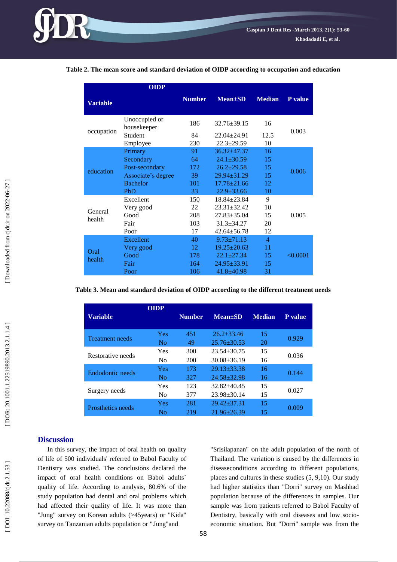|                   | <b>OIDP</b>                  |               |                   |                |                |  |
|-------------------|------------------------------|---------------|-------------------|----------------|----------------|--|
| <b>Variable</b>   |                              | <b>Number</b> | $Mean \pm SD$     | <b>Median</b>  | <b>P</b> value |  |
| occupation        | Unoccupied or<br>housekeeper | 186           | $32.76 \pm 39.15$ | 16             | 0.003          |  |
|                   | <b>Student</b>               | 84            | $22.04 + 24.91$   | 12.5           |                |  |
|                   | Employee                     | 230           | $22.3 \pm 29.59$  | 10             |                |  |
| education         | Primary                      | 91            | $36.32 \pm 47.37$ | 16             | 0.006          |  |
|                   | Secondary                    | 64            | $24.1 \pm 30.59$  | 15             |                |  |
|                   | Post-secondary               | 172           | $26.2 \pm 29.58$  | 15             |                |  |
|                   | Associate's degree           | 39            | $29.94 + 31.29$   | 15             |                |  |
|                   | <b>Bachelor</b>              | 101           | $17.78 \pm 21.66$ | 12             |                |  |
|                   | PhD                          | 33            | $22.9 \pm 33.66$  | 10             |                |  |
|                   | Excellent                    | 150           | $18.84 + 23.84$   | 9              |                |  |
| General<br>health | Very good                    | 22            | $23.31 \pm 32.42$ | 10             | 0.005          |  |
|                   | Good                         | 208           | $27.83 \pm 35.04$ | 15             |                |  |
|                   | Fair                         | 103           | $31.3 \pm 34.27$  | 20             |                |  |
|                   | Poor                         | 17            | $42.64 \pm 56.78$ | 12             |                |  |
| Oral<br>health    | Excellent                    | 40            | $9.73 \pm 71.13$  | $\overline{4}$ | < 0.0001       |  |
|                   | Very good                    | 12            | $19.25 \pm 20.63$ | 11             |                |  |
|                   | Good                         | 178           | $22.1 \pm 27.34$  | 15             |                |  |
|                   | Fair                         | 164           | $24.95 \pm 33.91$ | 15             |                |  |
|                   | Poor                         | 106           | $41.8 \pm 40.98$  | 31             |                |  |

**Table 2. The mean score and standard deviation of OIDP according to occupation and education**

**Table 3. Mean and standard deviation of OIDP according to the different treatment needs**

| Variable                 | <b>OIDP</b>    | <b>Number</b> | $Mean \pm SD$     | <b>Median</b> | <b>P</b> value |
|--------------------------|----------------|---------------|-------------------|---------------|----------------|
| <b>Treatment needs</b>   | <b>Yes</b>     | 451           | $26.2 + 33.46$    | 15            | 0.929          |
|                          | N <sub>0</sub> | 49            | $25.76 \pm 30.53$ | 20            |                |
| Restorative needs        | Yes            | 300           | $23.54 + 30.75$   | 15            | 0.036          |
|                          | N <sub>0</sub> | 200           | $30.08 \pm 36.19$ | 16            |                |
| Endodontic needs         | <b>Yes</b>     | 173           | $29.13 + 33.38$   | 16            | 0.144          |
|                          | No             | 327           | $24.58 + 32.98$   | 16            |                |
| Surgery needs            | Yes            | 123           | $32.82 + 40.45$   | 15            | 0.027          |
|                          | N <sub>0</sub> | 377           | $23.98 \pm 30.14$ | 15            |                |
| <b>Prosthetics needs</b> | <b>Yes</b>     | 281           | $29.42 \pm 37.31$ | 15            | 0.009          |
|                          | Nο             | 219           | $21.96 + 26.39$   | 15            |                |

# **Discussion**

In this survey, the impact of oral health on quality of life of 500 individuals' referred to Babol Faculty of Dentistry was studied. The conclusions declared the impact of oral health conditions on Babol adults` quality of life. According to analysis, 80.6% of the study population had dental and oral problems which had affected their quality of life. It was more than "Jung" survey on Korean adults (>45years) or "Kida" survey on Tanzanian adults population or " Jung "and

"Srisilapanan " on the adult population of the north of Thailand. The variation is caused by the differences in diseaseconditions according to different populations, places and cultures in these studies (5, 9,10). Our study had higher statistics than "Dorri" survey on Mashhad population because of the differences in samples. Our sample was from patients referred to Babol Faculty of Dentistry, basically with oral diseases and low socio economic situation. But "Dorri" sample was from the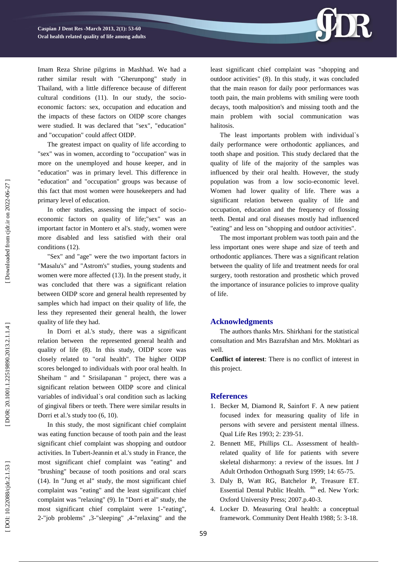

Imam Reza Shrine pilgrims in Mashhad. We had a rather similar result with "Gherunpong" study in Thailand, with a little difference because of different cultural conditions (11). In our study, the socio economic factors: sex, occupation and education and the impacts of these factors on OIDP score changes were studied. It was declared that "sex", "education" and "occupation" could affect OIDP.

The greatest impact on quality of life according to "sex" was in women, according to "occupation" was in more on the unemployed and house keeper, and in "education" was in primary level. This difference in "education" and "occupation" groups was because of this fact that most women were housekeepers and had primary level of education.

In other studies, assessing the impact of socioeconomic factors on quality of life;"sex" was an important factor in Montero et al's. study, women were more disabled and less satisfied with their oral conditions (12).

"Sex" and "age" were the two important factors in "Masalu's" and "Astrom's" studies, young students and women were more affected (13). In the present study, it was concluded that there was a significant relation between OIDP score and general health represented by samples which had impact on their quality of life, the less they represented their general health, the lower quality of life they had.

In Dorri et al.'s study, there was a significant relation between the represented general health and quality of life (8). In this study, OIDP score was closely related to "oral health". The higher OIDP scores belonged to individuals with poor oral health. In Sheiham " and " Srisilapanan " project, there was a significant relation between OIDP score and clinical variables of individual`s oral condition such as lacking of gingival fibers or teeth. There were similar results in Dorri et al.'s study too (6, 10).

In this study, the most significant chief complaint was eating function because of tooth pain and the least significant chief complaint was shopping and outdoor activities. In Tubert -Jeannin et al.'s study in France, the most significant chief complaint was "eating" and "brushing" because of tooth positions and oral scars (14). In "Jung et al " study, the most significant chief complaint was "eating" and the least significant chief complaint was "relaxing" (9). In "Dorri et al " study, the most significant chief complaint were 1 -"eating" , 2 -"job problems" ,3 -"sleeping" ,4 -"relaxing" and the least significant chief complaint was "shopping and outdoor activities " (8). In this study, it was concluded that the main reason for daily poor performances was tooth pain, the main problems with smiling were tooth decays, tooth malposition's and missing tooth and the main problem with social communication was halitosis.

The least important s problem with individual`s daily performance were orthodontic appliances, and tooth shape and position. This study declared that the quality of life of the majority of the samples was influenced by their oral health. However, the study population was from a low socio -economic level. Women had lower quality of life. There was a significant relation between quality of life and occupation, education and the frequency of flossing teeth. Dental and oral diseases mostly had influenced "eating" and less on "shopping and outdoor activities" .

The most important problem was tooth pain and the less important ones were shape and size of teeth and orthodontic appliances. There was a significant relation between the quality of life and treatment needs for oral surgery, tooth restoration and prosthetic which proved the importance of insurance policies to improve quality of life.

# **Acknowled gment s**

The authors thanks Mrs. Shirkhani for the statistical consultation and Mrs Bazrafshan and Mrs. Mokhtari as well.

**Conflict of interest**: There is no conflict of interest in this project .

### **References**

- 1. Becker M, Diamond R, Sainfort F. A new patient focused index for measuring quality of life in persons with severe and persistent mental illness. Qual Life Res 1993; 2: 239 -51.
- 2 . Bennett ME, Phillips CL. Assessment of health related quality of life for patients with severe skeletal disharmony: a review of the issues. Int J Adult Orthodon Orthognath Surg 1999; 14: 65 -75.
- 3 . Daly B, Watt RG, Batchelor P, Treasure ET. Essential Dental Public Health. <sup>4th</sup> ed. New York: Oxford University Press; 2007.p.40 -3.
- 4 . Locker D. Measuring Oral health: a conceptual framework. Community Dent Health 1988; 5: 3 -18.